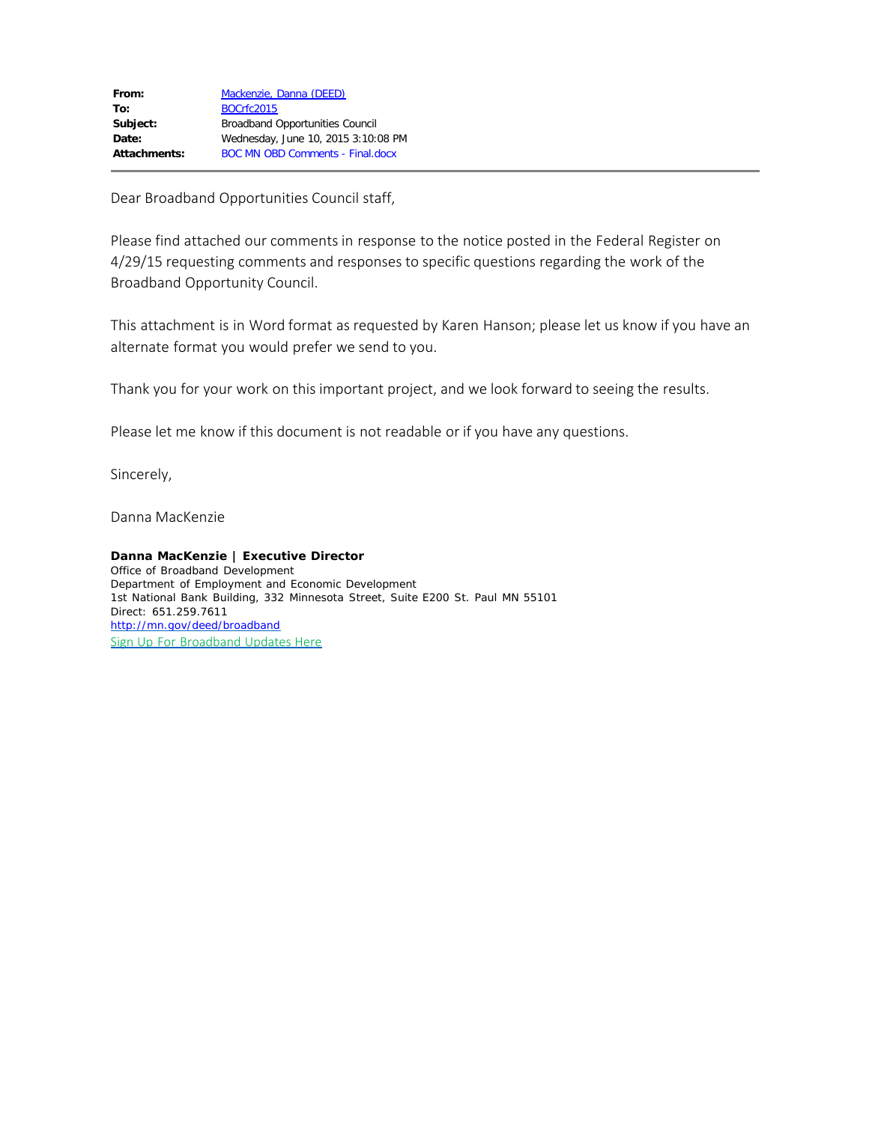Dear Broadband Opportunities Council staff,

Please find attached our comments in response to the notice posted in the Federal Register on 4/29/15 requesting comments and responses to specific questions regarding the work of the Broadband Opportunity Council.

This attachment is in Word format as requested by Karen Hanson; please let us know if you have an alternate format you would prefer we send to you.

Thank you for your work on this important project, and we look forward to seeing the results.

Please let me know if this document is not readable or if you have any questions.

Sincerely,

Danna MacKenzie

**Danna MacKenzie** *|* **Executive Director** *Office of Broadband Development Department of Employment and Economic Development* 1st National Bank Building, 332 Minnesota Street, Suite E200 St. Paul MN 55101 Direct: 651.259.7611 <http://mn.gov/deed/broadband> [Sign Up For Broadband Updates Here](http://mn.gov/deed/programs-services/broadband/contact/index.jsp)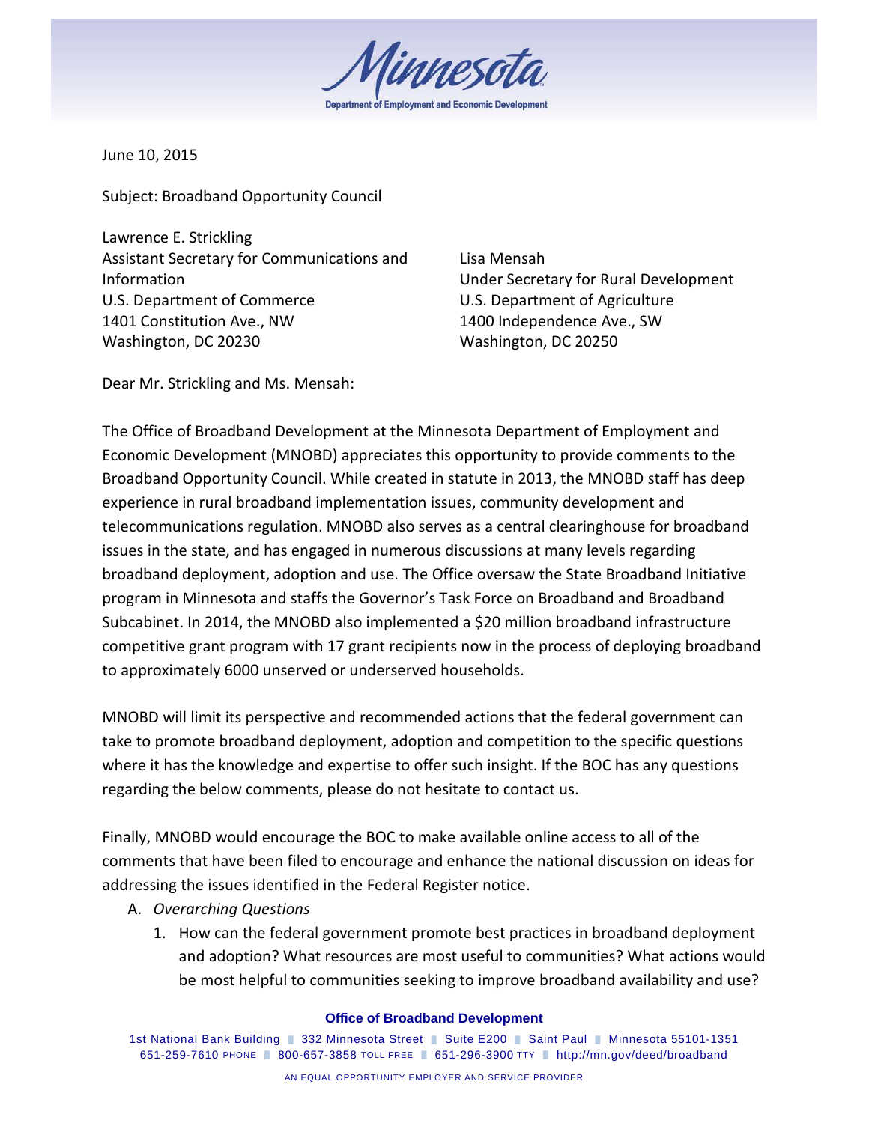innesal

June 10, 2015

Subject: Broadband Opportunity Council

Lawrence E. Strickling Assistant Secretary for Communications and Information U.S. Department of Commerce 1401 Constitution Ave., NW Washington, DC 20230

Lisa Mensah Under Secretary for Rural Development U.S. Department of Agriculture 1400 Independence Ave., SW Washington, DC 20250

Dear Mr. Strickling and Ms. Mensah:

The Office of Broadband Development at the Minnesota Department of Employment and Economic Development (MNOBD) appreciates this opportunity to provide comments to the Broadband Opportunity Council. While created in statute in 2013, the MNOBD staff has deep experience in rural broadband implementation issues, community development and telecommunications regulation. MNOBD also serves as a central clearinghouse for broadband issues in the state, and has engaged in numerous discussions at many levels regarding broadband deployment, adoption and use. The Office oversaw the State Broadband Initiative program in Minnesota and staffs the Governor's Task Force on Broadband and Broadband Subcabinet. In 2014, the MNOBD also implemented a \$20 million broadband infrastructure competitive grant program with 17 grant recipients now in the process of deploying broadband to approximately 6000 unserved or underserved households.

MNOBD will limit its perspective and recommended actions that the federal government can take to promote broadband deployment, adoption and competition to the specific questions where it has the knowledge and expertise to offer such insight. If the BOC has any questions regarding the below comments, please do not hesitate to contact us.

Finally, MNOBD would encourage the BOC to make available online access to all of the comments that have been filed to encourage and enhance the national discussion on ideas for addressing the issues identified in the Federal Register notice.

- A. *Overarching Questions*
	- 1. How can the federal government promote best practices in broadband deployment and adoption? What resources are most useful to communities? What actions would be most helpful to communities seeking to improve broadband availability and use?

#### **Office of Broadband Development**

1st National Bank Building | 332 Minnesota Street | Suite E200 | Saint Paul | Minnesota 55101-1351 651-259-7610 PHONE █ 800-657-3858 TOLL FREE █ 651-296-3900 TTY █ http://mn.gov/deed/broadband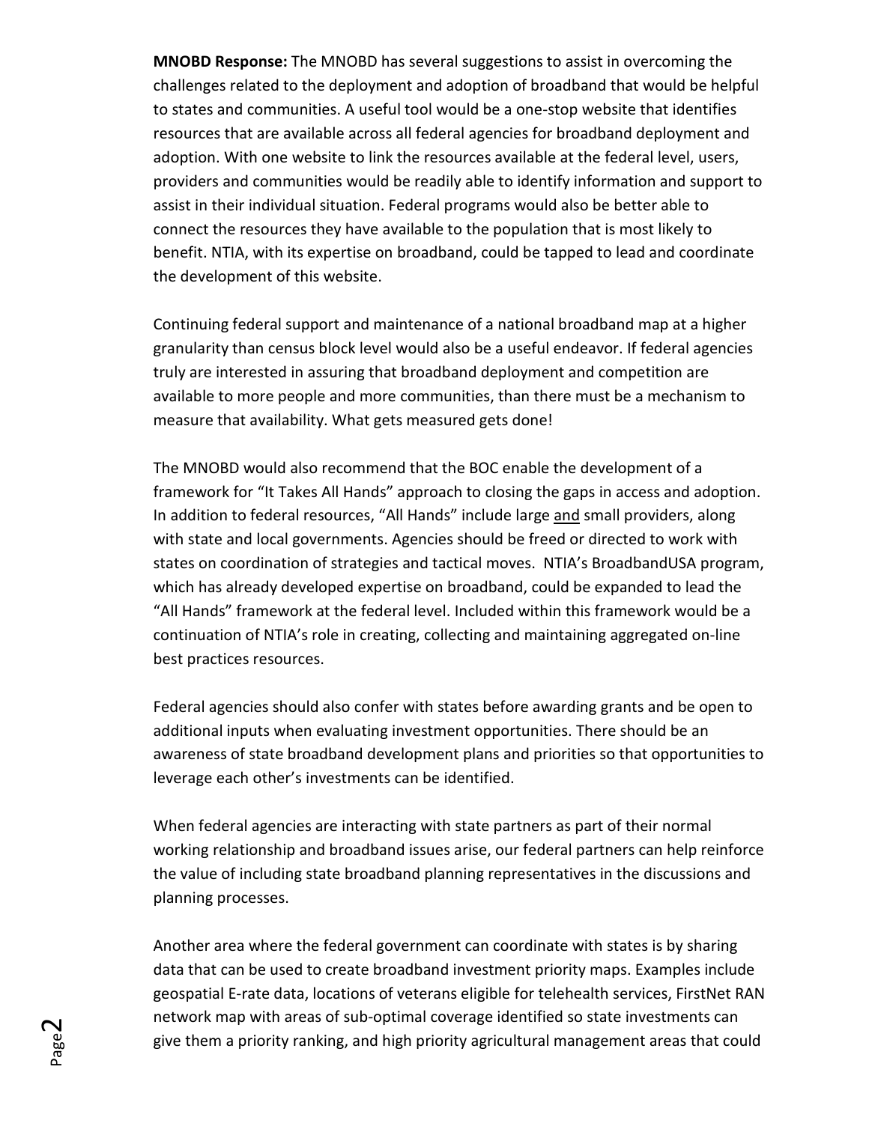**MNOBD Response:** The MNOBD has several suggestions to assist in overcoming the challenges related to the deployment and adoption of broadband that would be helpful to states and communities. A useful tool would be a one-stop website that identifies resources that are available across all federal agencies for broadband deployment and adoption. With one website to link the resources available at the federal level, users, providers and communities would be readily able to identify information and support to assist in their individual situation. Federal programs would also be better able to connect the resources they have available to the population that is most likely to benefit. NTIA, with its expertise on broadband, could be tapped to lead and coordinate the development of this website.

Continuing federal support and maintenance of a national broadband map at a higher granularity than census block level would also be a useful endeavor. If federal agencies truly are interested in assuring that broadband deployment and competition are available to more people and more communities, than there must be a mechanism to measure that availability. What gets measured gets done!

The MNOBD would also recommend that the BOC enable the development of a framework for "It Takes All Hands" approach to closing the gaps in access and adoption. In addition to federal resources, "All Hands" include large and small providers, along with state and local governments. Agencies should be freed or directed to work with states on coordination of strategies and tactical moves. NTIA's BroadbandUSA program, which has already developed expertise on broadband, could be expanded to lead the "All Hands" framework at the federal level. Included within this framework would be a continuation of NTIA's role in creating, collecting and maintaining aggregated on-line best practices resources.

Federal agencies should also confer with states before awarding grants and be open to additional inputs when evaluating investment opportunities. There should be an awareness of state broadband development plans and priorities so that opportunities to leverage each other's investments can be identified.

When federal agencies are interacting with state partners as part of their normal working relationship and broadband issues arise, our federal partners can help reinforce the value of including state broadband planning representatives in the discussions and planning processes.

Another area where the federal government can coordinate with states is by sharing data that can be used to create broadband investment priority maps. Examples include geospatial E-rate data, locations of veterans eligible for telehealth services, FirstNet RAN network map with areas of sub-optimal coverage identified so state investments can give them a priority ranking, and high priority agricultural management areas that could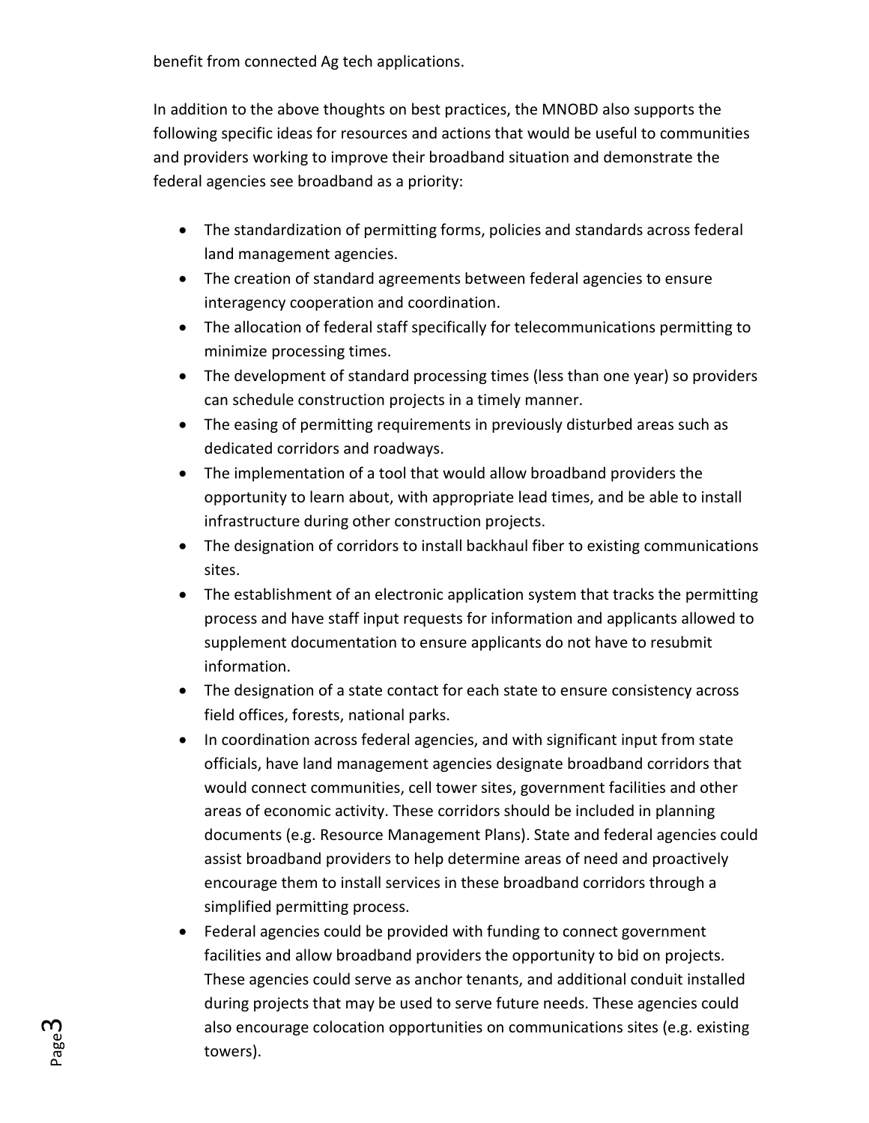benefit from connected Ag tech applications.

In addition to the above thoughts on best practices, the MNOBD also supports the following specific ideas for resources and actions that would be useful to communities and providers working to improve their broadband situation and demonstrate the federal agencies see broadband as a priority:

- The standardization of permitting forms, policies and standards across federal land management agencies.
- The creation of standard agreements between federal agencies to ensure interagency cooperation and coordination.
- The allocation of federal staff specifically for telecommunications permitting to minimize processing times.
- The development of standard processing times (less than one year) so providers can schedule construction projects in a timely manner.
- The easing of permitting requirements in previously disturbed areas such as dedicated corridors and roadways.
- The implementation of a tool that would allow broadband providers the opportunity to learn about, with appropriate lead times, and be able to install infrastructure during other construction projects.
- The designation of corridors to install backhaul fiber to existing communications sites.
- The establishment of an electronic application system that tracks the permitting process and have staff input requests for information and applicants allowed to supplement documentation to ensure applicants do not have to resubmit information.
- The designation of a state contact for each state to ensure consistency across field offices, forests, national parks.
- In coordination across federal agencies, and with significant input from state officials, have land management agencies designate broadband corridors that would connect communities, cell tower sites, government facilities and other areas of economic activity. These corridors should be included in planning documents (e.g. Resource Management Plans). State and federal agencies could assist broadband providers to help determine areas of need and proactively encourage them to install services in these broadband corridors through a simplified permitting process.
- Federal agencies could be provided with funding to connect government facilities and allow broadband providers the opportunity to bid on projects. These agencies could serve as anchor tenants, and additional conduit installed during projects that may be used to serve future needs. These agencies could also encourage colocation opportunities on communications sites (e.g. existing towers).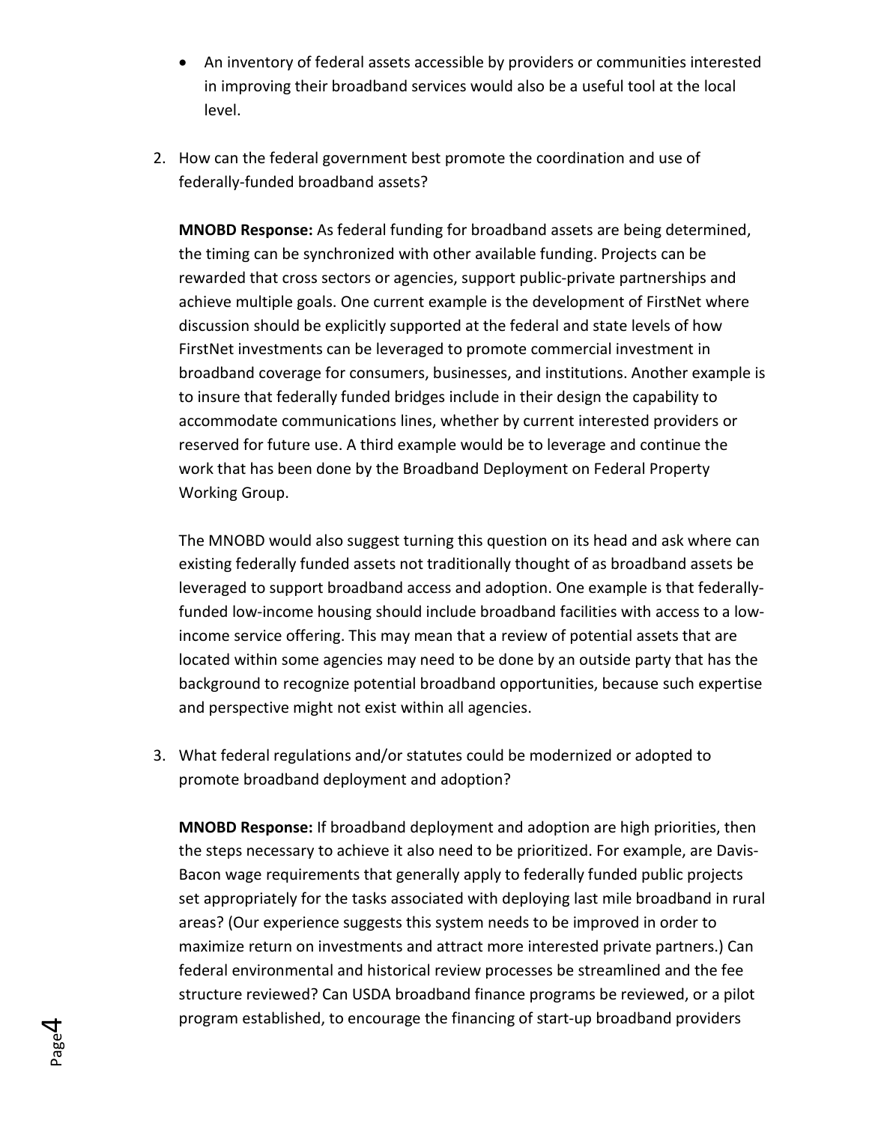- An inventory of federal assets accessible by providers or communities interested in improving their broadband services would also be a useful tool at the local level.
- 2. How can the federal government best promote the coordination and use of federally-funded broadband assets?

**MNOBD Response:** As federal funding for broadband assets are being determined, the timing can be synchronized with other available funding. Projects can be rewarded that cross sectors or agencies, support public-private partnerships and achieve multiple goals. One current example is the development of FirstNet where discussion should be explicitly supported at the federal and state levels of how FirstNet investments can be leveraged to promote commercial investment in broadband coverage for consumers, businesses, and institutions. Another example is to insure that federally funded bridges include in their design the capability to accommodate communications lines, whether by current interested providers or reserved for future use. A third example would be to leverage and continue the work that has been done by the Broadband Deployment on Federal Property Working Group.

The MNOBD would also suggest turning this question on its head and ask where can existing federally funded assets not traditionally thought of as broadband assets be leveraged to support broadband access and adoption. One example is that federallyfunded low-income housing should include broadband facilities with access to a lowincome service offering. This may mean that a review of potential assets that are located within some agencies may need to be done by an outside party that has the background to recognize potential broadband opportunities, because such expertise and perspective might not exist within all agencies.

3. What federal regulations and/or statutes could be modernized or adopted to promote broadband deployment and adoption?

**MNOBD Response:** If broadband deployment and adoption are high priorities, then the steps necessary to achieve it also need to be prioritized. For example, are Davis-Bacon wage requirements that generally apply to federally funded public projects set appropriately for the tasks associated with deploying last mile broadband in rural areas? (Our experience suggests this system needs to be improved in order to maximize return on investments and attract more interested private partners.) Can federal environmental and historical review processes be streamlined and the fee structure reviewed? Can USDA broadband finance programs be reviewed, or a pilot program established, to encourage the financing of start-up broadband providers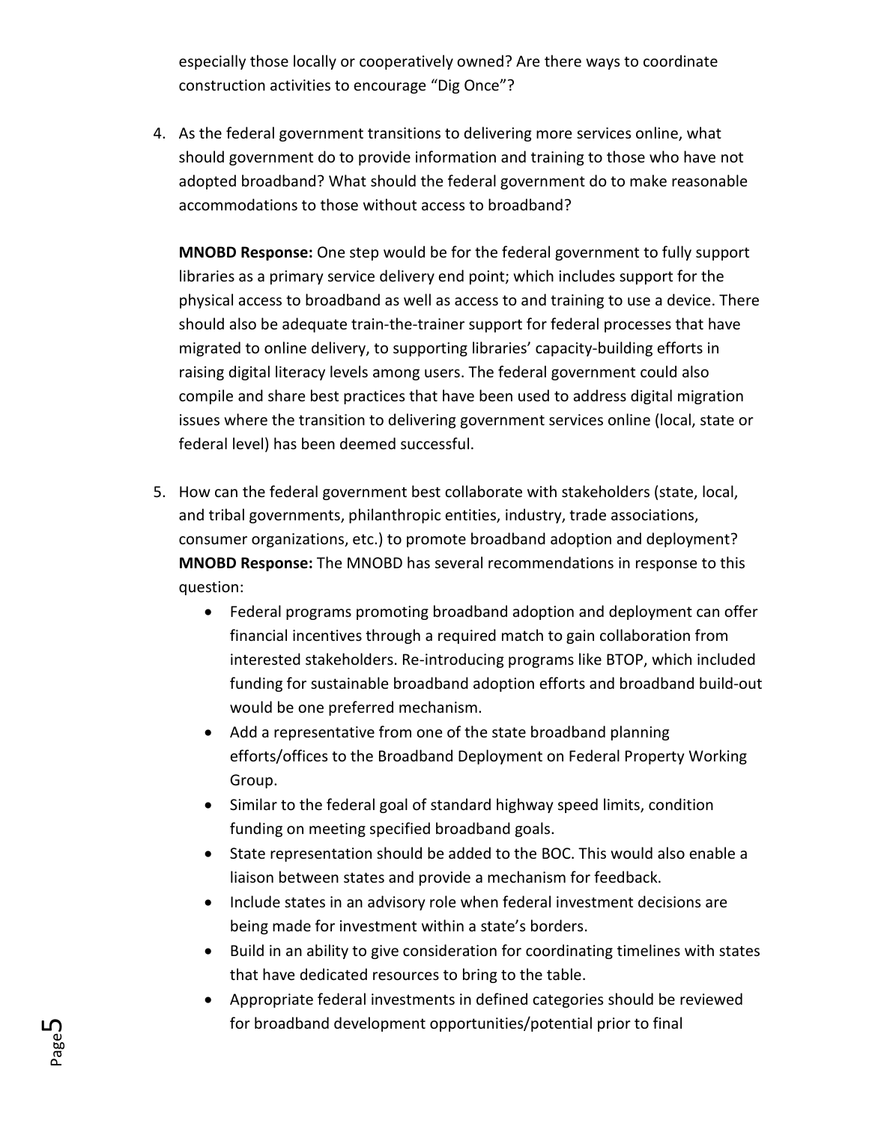especially those locally or cooperatively owned? Are there ways to coordinate construction activities to encourage "Dig Once"?

4. As the federal government transitions to delivering more services online, what should government do to provide information and training to those who have not adopted broadband? What should the federal government do to make reasonable accommodations to those without access to broadband?

**MNOBD Response:** One step would be for the federal government to fully support libraries as a primary service delivery end point; which includes support for the physical access to broadband as well as access to and training to use a device. There should also be adequate train-the-trainer support for federal processes that have migrated to online delivery, to supporting libraries' capacity-building efforts in raising digital literacy levels among users. The federal government could also compile and share best practices that have been used to address digital migration issues where the transition to delivering government services online (local, state or federal level) has been deemed successful.

- 5. How can the federal government best collaborate with stakeholders (state, local, and tribal governments, philanthropic entities, industry, trade associations, consumer organizations, etc.) to promote broadband adoption and deployment? **MNOBD Response:** The MNOBD has several recommendations in response to this question:
	- Federal programs promoting broadband adoption and deployment can offer financial incentives through a required match to gain collaboration from interested stakeholders. Re-introducing programs like BTOP, which included funding for sustainable broadband adoption efforts and broadband build-out would be one preferred mechanism.
	- Add a representative from one of the state broadband planning efforts/offices to the Broadband Deployment on Federal Property Working Group.
	- Similar to the federal goal of standard highway speed limits, condition funding on meeting specified broadband goals.
	- State representation should be added to the BOC. This would also enable a liaison between states and provide a mechanism for feedback.
	- Include states in an advisory role when federal investment decisions are being made for investment within a state's borders.
	- Build in an ability to give consideration for coordinating timelines with states that have dedicated resources to bring to the table.
	- Appropriate federal investments in defined categories should be reviewed for broadband development opportunities/potential prior to final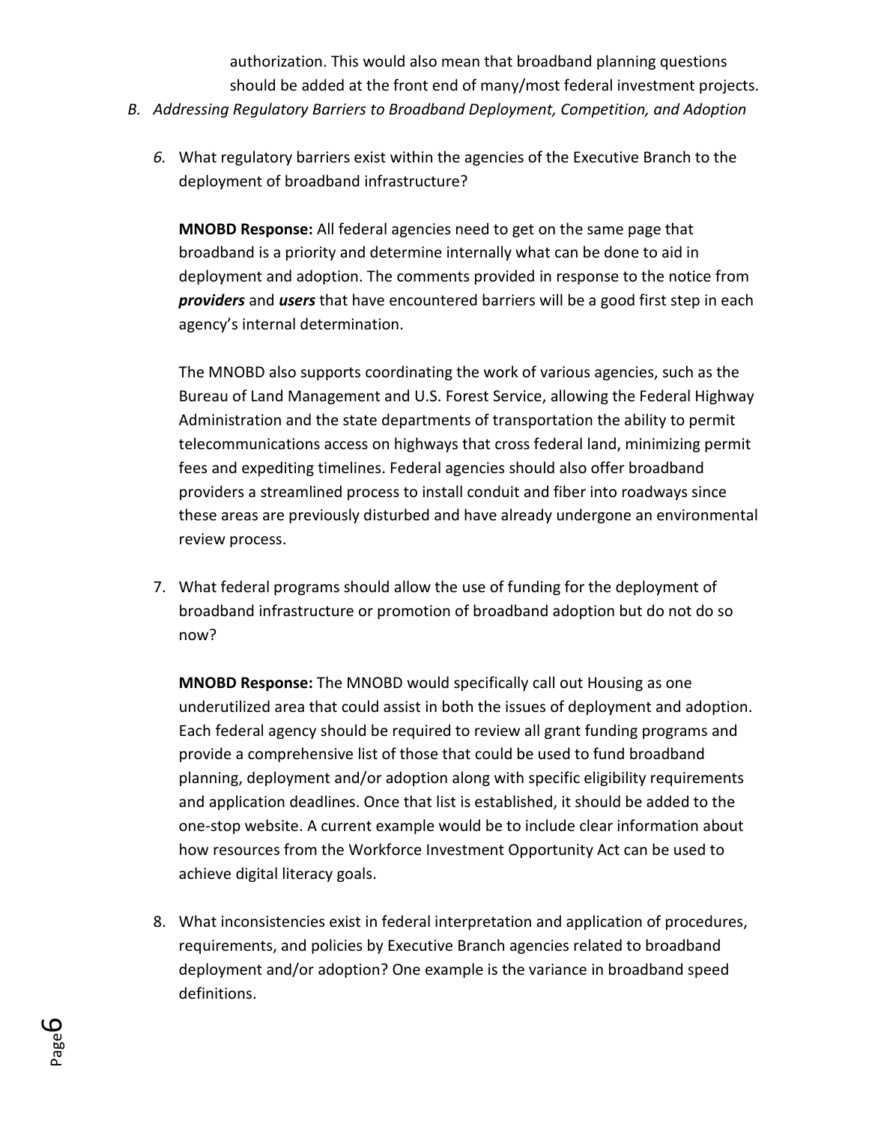authorization. This would also mean that broadband planning questions should be added at the front end of many/most federal investment projects.

- *B. Addressing Regulatory Barriers to Broadband Deployment, Competition, and Adoption*
	- *6.* What regulatory barriers exist within the agencies of the Executive Branch to the deployment of broadband infrastructure?

**MNOBD Response:** All federal agencies need to get on the same page that broadband is a priority and determine internally what can be done to aid in deployment and adoption. The comments provided in response to the notice from *providers* and *users* that have encountered barriers will be a good first step in each agency's internal determination.

The MNOBD also supports coordinating the work of various agencies, such as the Bureau of Land Management and U.S. Forest Service, allowing the Federal Highway Administration and the state departments of transportation the ability to permit telecommunications access on highways that cross federal land, minimizing permit fees and expediting timelines. Federal agencies should also offer broadband providers a streamlined process to install conduit and fiber into roadways since these areas are previously disturbed and have already undergone an environmental review process.

7. What federal programs should allow the use of funding for the deployment of broadband infrastructure or promotion of broadband adoption but do not do so now?

**MNOBD Response:** The MNOBD would specifically call out Housing as one underutilized area that could assist in both the issues of deployment and adoption. Each federal agency should be required to review all grant funding programs and provide a comprehensive list of those that could be used to fund broadband planning, deployment and/or adoption along with specific eligibility requirements and application deadlines. Once that list is established, it should be added to the one-stop website. A current example would be to include clear information about how resources from the Workforce Investment Opportunity Act can be used to achieve digital literacy goals.

8. What inconsistencies exist in federal interpretation and application of procedures, requirements, and policies by Executive Branch agencies related to broadband deployment and/or adoption? One example is the variance in broadband speed definitions.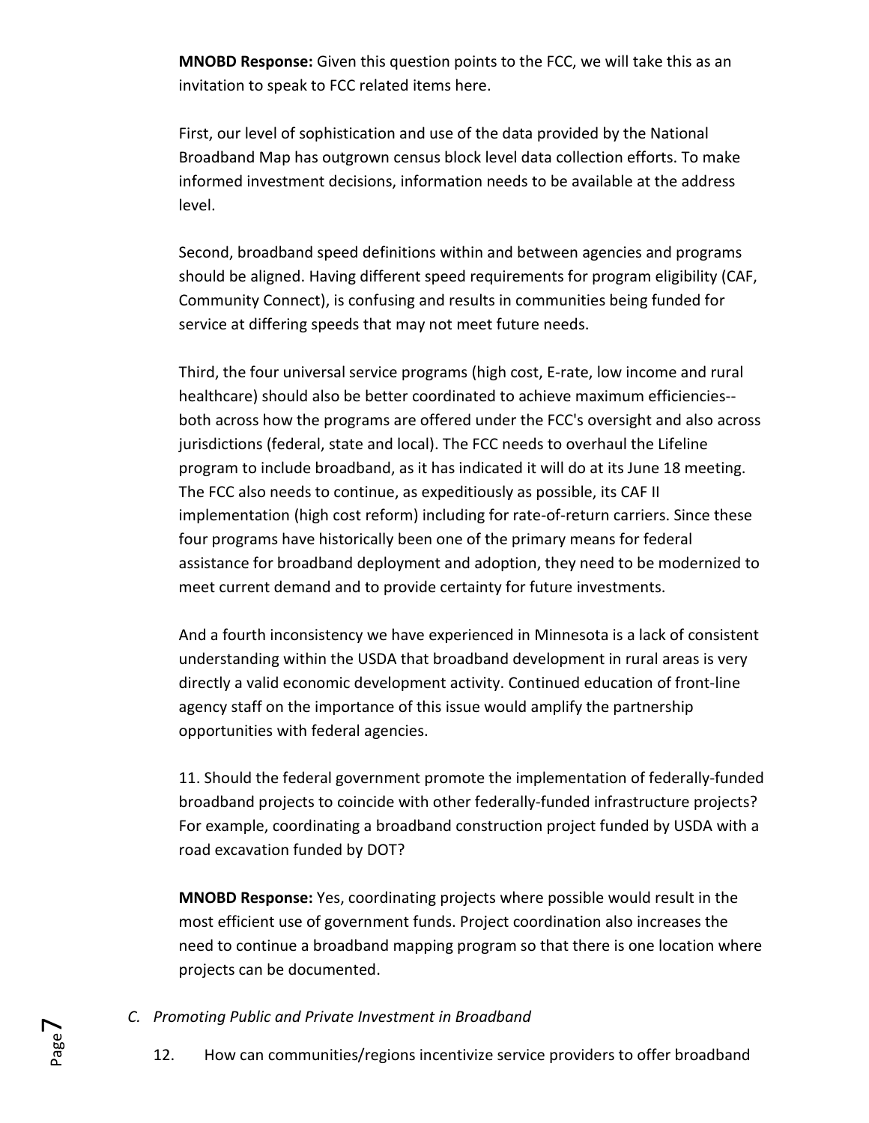**MNOBD Response:** Given this question points to the FCC, we will take this as an invitation to speak to FCC related items here.

First, our level of sophistication and use of the data provided by the National Broadband Map has outgrown census block level data collection efforts. To make informed investment decisions, information needs to be available at the address level.

Second, broadband speed definitions within and between agencies and programs should be aligned. Having different speed requirements for program eligibility (CAF, Community Connect), is confusing and results in communities being funded for service at differing speeds that may not meet future needs.

Third, the four universal service programs (high cost, E-rate, low income and rural healthcare) should also be better coordinated to achieve maximum efficiencies- both across how the programs are offered under the FCC's oversight and also across jurisdictions (federal, state and local). The FCC needs to overhaul the Lifeline program to include broadband, as it has indicated it will do at its June 18 meeting. The FCC also needs to continue, as expeditiously as possible, its CAF II implementation (high cost reform) including for rate-of-return carriers. Since these four programs have historically been one of the primary means for federal assistance for broadband deployment and adoption, they need to be modernized to meet current demand and to provide certainty for future investments.

And a fourth inconsistency we have experienced in Minnesota is a lack of consistent understanding within the USDA that broadband development in rural areas is very directly a valid economic development activity. Continued education of front-line agency staff on the importance of this issue would amplify the partnership opportunities with federal agencies.

11. Should the federal government promote the implementation of federally-funded broadband projects to coincide with other federally-funded infrastructure projects? For example, coordinating a broadband construction project funded by USDA with a road excavation funded by DOT?

**MNOBD Response:** Yes, coordinating projects where possible would result in the most efficient use of government funds. Project coordination also increases the need to continue a broadband mapping program so that there is one location where projects can be documented.

- *C. Promoting Public and Private Investment in Broadband*
	- 12. How can communities/regions incentivize service providers to offer broadband

Page  $\blacktriangleright$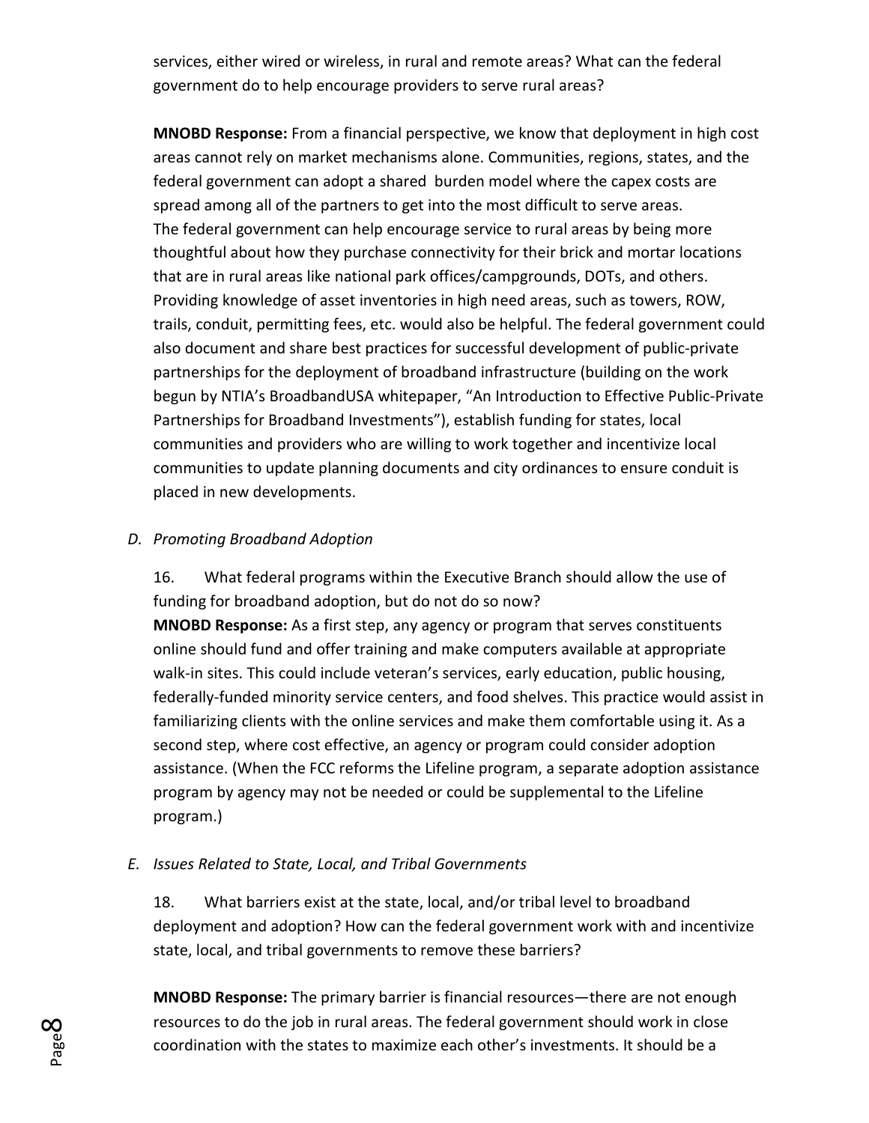services, either wired or wireless, in rural and remote areas? What can the federal government do to help encourage providers to serve rural areas?

**MNOBD Response:** From a financial perspective, we know that deployment in high cost areas cannot rely on market mechanisms alone. Communities, regions, states, and the federal government can adopt a shared burden model where the capex costs are spread among all of the partners to get into the most difficult to serve areas. The federal government can help encourage service to rural areas by being more thoughtful about how they purchase connectivity for their brick and mortar locations that are in rural areas like national park offices/campgrounds, DOTs, and others. Providing knowledge of asset inventories in high need areas, such as towers, ROW, trails, conduit, permitting fees, etc. would also be helpful. The federal government could also document and share best practices for successful development of public-private partnerships for the deployment of broadband infrastructure (building on the work begun by NTIA's BroadbandUSA whitepaper, "An Introduction to Effective Public-Private Partnerships for Broadband Investments"), establish funding for states, local communities and providers who are willing to work together and incentivize local communities to update planning documents and city ordinances to ensure conduit is placed in new developments.

## *D. Promoting Broadband Adoption*

16. What federal programs within the Executive Branch should allow the use of funding for broadband adoption, but do not do so now? **MNOBD Response:** As a first step, any agency or program that serves constituents online should fund and offer training and make computers available at appropriate walk-in sites. This could include veteran's services, early education, public housing, federally-funded minority service centers, and food shelves. This practice would assist in familiarizing clients with the online services and make them comfortable using it. As a second step, where cost effective, an agency or program could consider adoption assistance. (When the FCC reforms the Lifeline program, a separate adoption assistance program by agency may not be needed or could be supplemental to the Lifeline program.)

## *E. Issues Related to State, Local, and Tribal Governments*

18. What barriers exist at the state, local, and/or tribal level to broadband deployment and adoption? How can the federal government work with and incentivize state, local, and tribal governments to remove these barriers?

**MNOBD Response:** The primary barrier is financial resources—there are not enough resources to do the job in rural areas. The federal government should work in close coordination with the states to maximize each other's investments. It should be a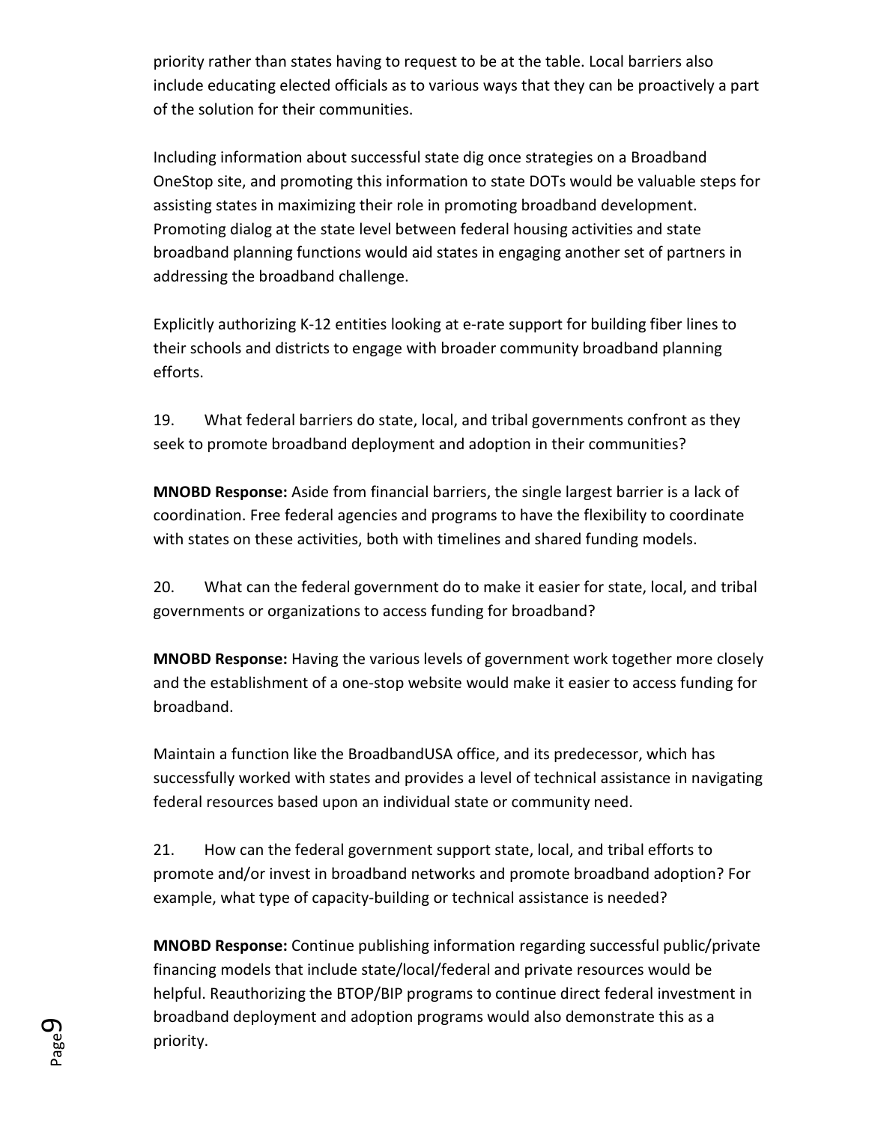priority rather than states having to request to be at the table. Local barriers also include educating elected officials as to various ways that they can be proactively a part of the solution for their communities.

Including information about successful state dig once strategies on a Broadband OneStop site, and promoting this information to state DOTs would be valuable steps for assisting states in maximizing their role in promoting broadband development. Promoting dialog at the state level between federal housing activities and state broadband planning functions would aid states in engaging another set of partners in addressing the broadband challenge.

Explicitly authorizing K-12 entities looking at e-rate support for building fiber lines to their schools and districts to engage with broader community broadband planning efforts.

19. What federal barriers do state, local, and tribal governments confront as they seek to promote broadband deployment and adoption in their communities?

**MNOBD Response:** Aside from financial barriers, the single largest barrier is a lack of coordination. Free federal agencies and programs to have the flexibility to coordinate with states on these activities, both with timelines and shared funding models.

20. What can the federal government do to make it easier for state, local, and tribal governments or organizations to access funding for broadband?

**MNOBD Response:** Having the various levels of government work together more closely and the establishment of a one-stop website would make it easier to access funding for broadband.

Maintain a function like the BroadbandUSA office, and its predecessor, which has successfully worked with states and provides a level of technical assistance in navigating federal resources based upon an individual state or community need.

21. How can the federal government support state, local, and tribal efforts to promote and/or invest in broadband networks and promote broadband adoption? For example, what type of capacity-building or technical assistance is needed?

**MNOBD Response:** Continue publishing information regarding successful public/private financing models that include state/local/federal and private resources would be helpful. Reauthorizing the BTOP/BIP programs to continue direct federal investment in broadband deployment and adoption programs would also demonstrate this as a priority.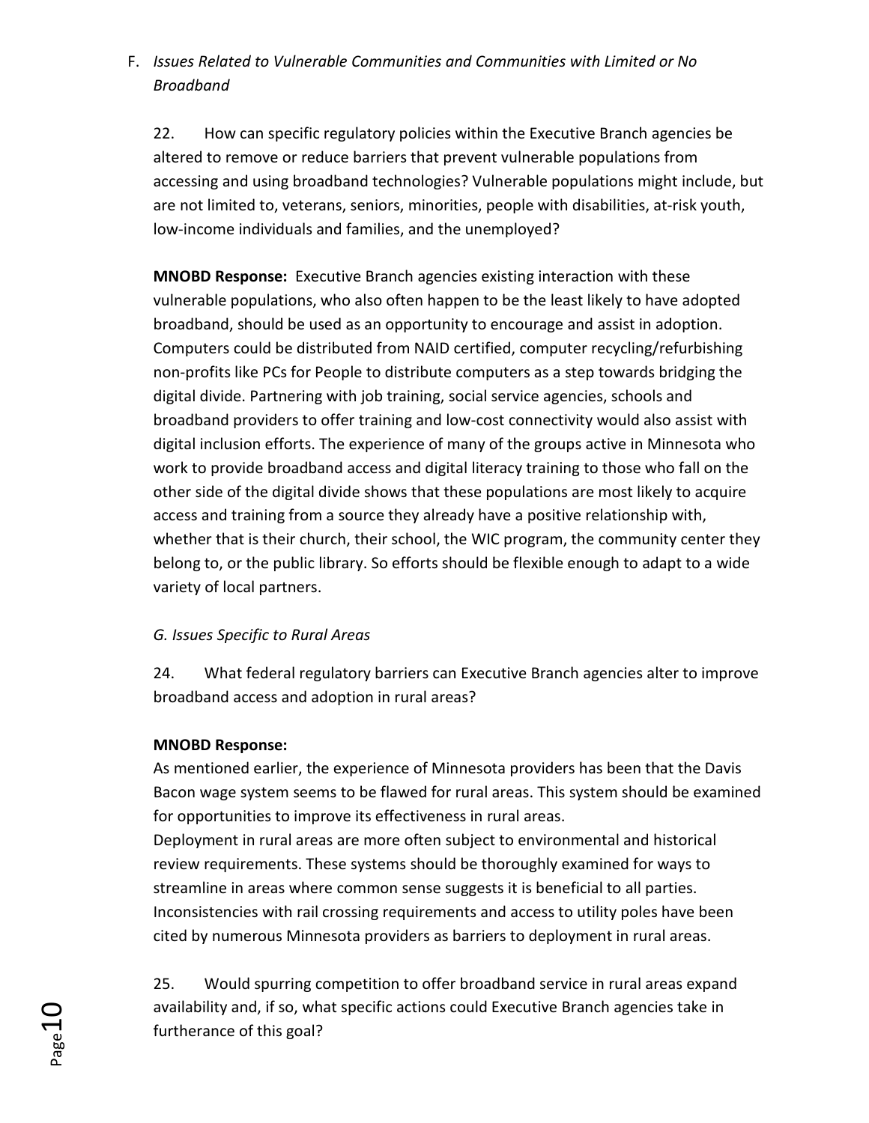# F. *Issues Related to Vulnerable Communities and Communities with Limited or No Broadband*

22. How can specific regulatory policies within the Executive Branch agencies be altered to remove or reduce barriers that prevent vulnerable populations from accessing and using broadband technologies? Vulnerable populations might include, but are not limited to, veterans, seniors, minorities, people with disabilities, at-risk youth, low-income individuals and families, and the unemployed?

**MNOBD Response:** Executive Branch agencies existing interaction with these vulnerable populations, who also often happen to be the least likely to have adopted broadband, should be used as an opportunity to encourage and assist in adoption. Computers could be distributed from NAID certified, computer recycling/refurbishing non-profits like PCs for People to distribute computers as a step towards bridging the digital divide. Partnering with job training, social service agencies, schools and broadband providers to offer training and low-cost connectivity would also assist with digital inclusion efforts. The experience of many of the groups active in Minnesota who work to provide broadband access and digital literacy training to those who fall on the other side of the digital divide shows that these populations are most likely to acquire access and training from a source they already have a positive relationship with, whether that is their church, their school, the WIC program, the community center they belong to, or the public library. So efforts should be flexible enough to adapt to a wide variety of local partners.

## *G. Issues Specific to Rural Areas*

24. What federal regulatory barriers can Executive Branch agencies alter to improve broadband access and adoption in rural areas?

## **MNOBD Response:**

As mentioned earlier, the experience of Minnesota providers has been that the Davis Bacon wage system seems to be flawed for rural areas. This system should be examined for opportunities to improve its effectiveness in rural areas.

Deployment in rural areas are more often subject to environmental and historical review requirements. These systems should be thoroughly examined for ways to streamline in areas where common sense suggests it is beneficial to all parties. Inconsistencies with rail crossing requirements and access to utility poles have been cited by numerous Minnesota providers as barriers to deployment in rural areas.

25. Would spurring competition to offer broadband service in rural areas expand availability and, if so, what specific actions could Executive Branch agencies take in furtherance of this goal?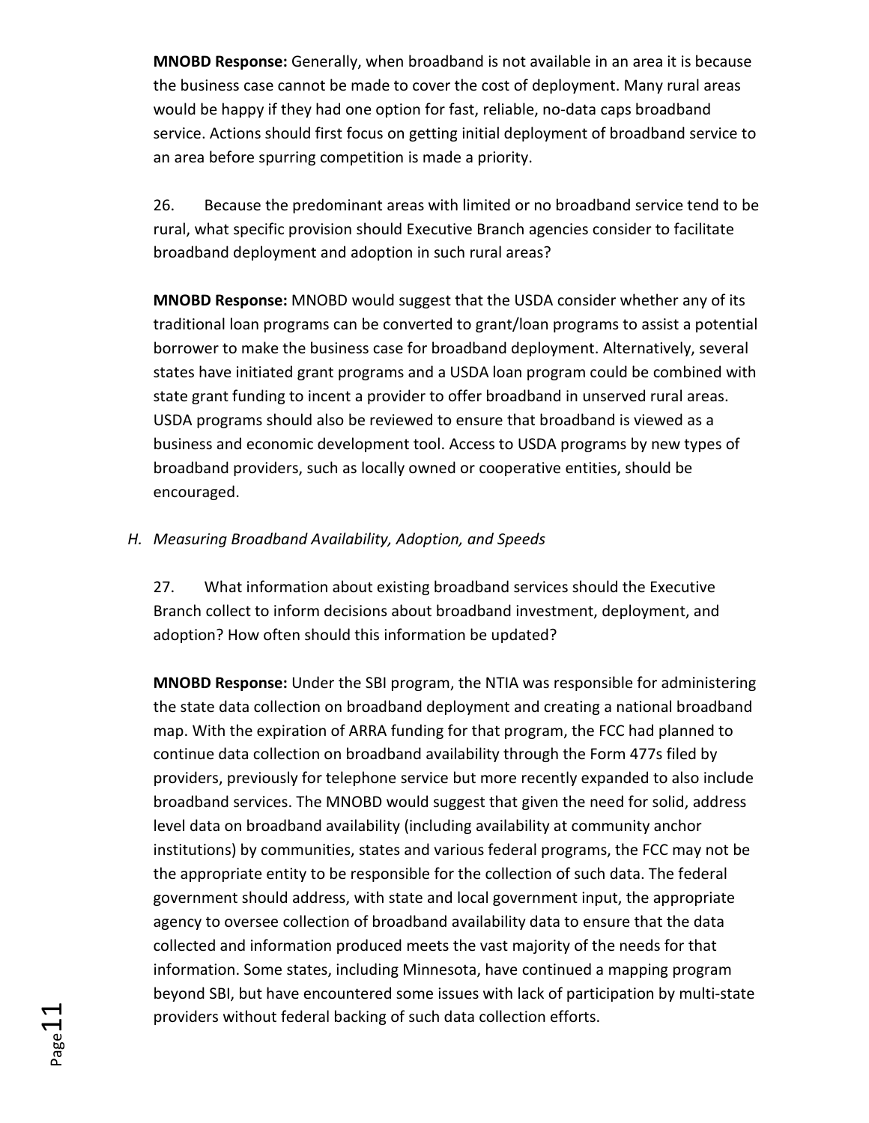**MNOBD Response:** Generally, when broadband is not available in an area it is because the business case cannot be made to cover the cost of deployment. Many rural areas would be happy if they had one option for fast, reliable, no-data caps broadband service. Actions should first focus on getting initial deployment of broadband service to an area before spurring competition is made a priority.

26. Because the predominant areas with limited or no broadband service tend to be rural, what specific provision should Executive Branch agencies consider to facilitate broadband deployment and adoption in such rural areas?

**MNOBD Response:** MNOBD would suggest that the USDA consider whether any of its traditional loan programs can be converted to grant/loan programs to assist a potential borrower to make the business case for broadband deployment. Alternatively, several states have initiated grant programs and a USDA loan program could be combined with state grant funding to incent a provider to offer broadband in unserved rural areas. USDA programs should also be reviewed to ensure that broadband is viewed as a business and economic development tool. Access to USDA programs by new types of broadband providers, such as locally owned or cooperative entities, should be encouraged.

### *H. Measuring Broadband Availability, Adoption, and Speeds*

27. What information about existing broadband services should the Executive Branch collect to inform decisions about broadband investment, deployment, and adoption? How often should this information be updated?

**MNOBD Response:** Under the SBI program, the NTIA was responsible for administering the state data collection on broadband deployment and creating a national broadband map. With the expiration of ARRA funding for that program, the FCC had planned to continue data collection on broadband availability through the Form 477s filed by providers, previously for telephone service but more recently expanded to also include broadband services. The MNOBD would suggest that given the need for solid, address level data on broadband availability (including availability at community anchor institutions) by communities, states and various federal programs, the FCC may not be the appropriate entity to be responsible for the collection of such data. The federal government should address, with state and local government input, the appropriate agency to oversee collection of broadband availability data to ensure that the data collected and information produced meets the vast majority of the needs for that information. Some states, including Minnesota, have continued a mapping program beyond SBI, but have encountered some issues with lack of participation by multi-state providers without federal backing of such data collection efforts.